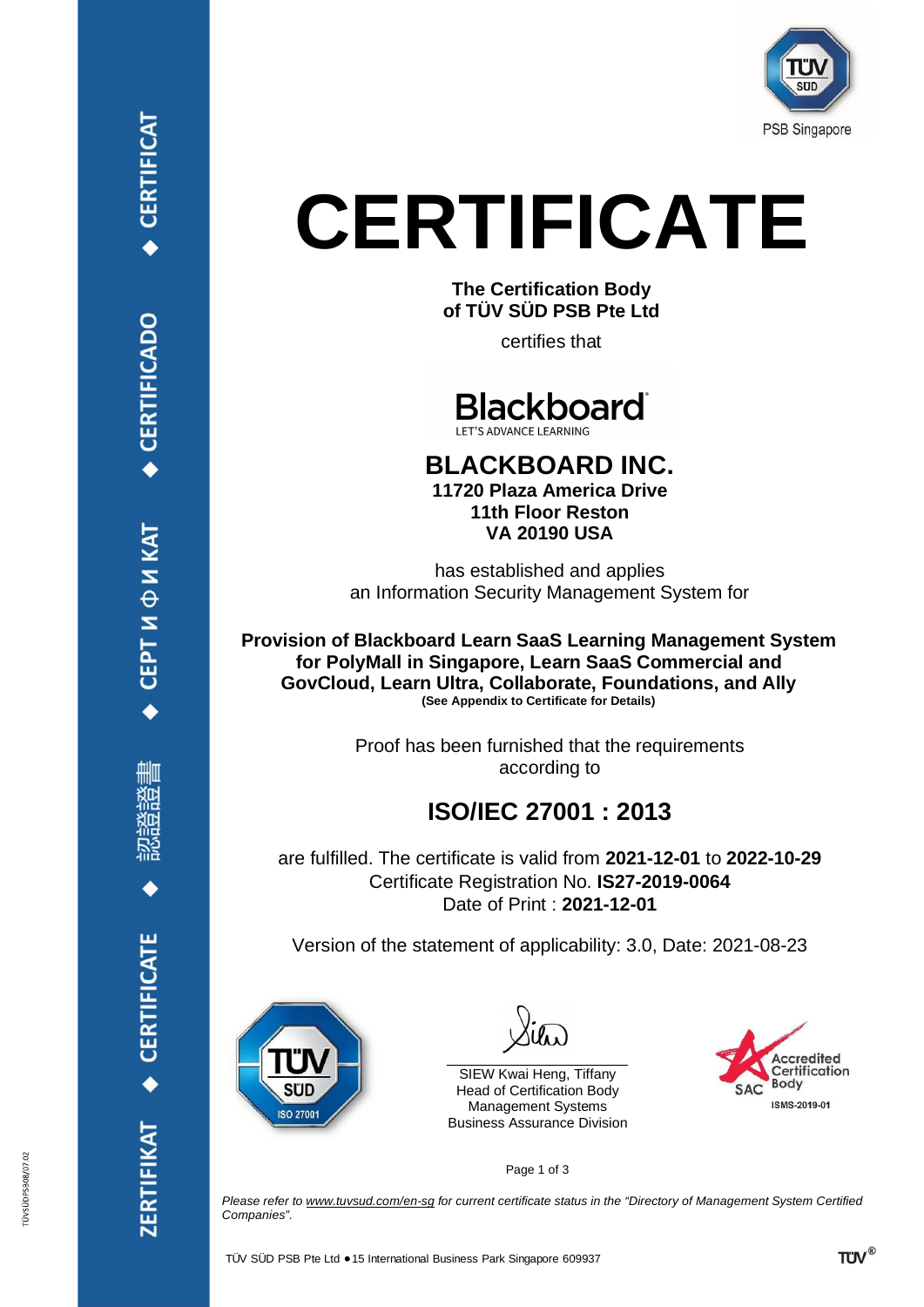

**The Certification Body of TÜV SÜD PSB Pte Ltd**

certifies that



#### **BLACKBOARD INC. 11720 Plaza America Drive 11th Floor Reston VA 20190 USA**

has established and applies an Information Security Management System for

**Provision of Blackboard Learn SaaS Learning Management System for PolyMall in Singapore, Learn SaaS Commercial and GovCloud, Learn Ultra, Collaborate, Foundations, and Ally (See Appendix to Certificate for Details)**

> Proof has been furnished that the requirements according to

### **ISO/IEC 27001 : 2013**

are fulfilled. The certificate is valid from **2021-12-01** to **2022-10-29** Certificate Registration No. **IS27-2019-0064** Date of Print : **2021-12-01**

Version of the statement of applicability: 3.0, Date: 2021-08-23



\_\_\_\_\_\_\_\_\_\_\_\_\_\_\_\_\_\_\_\_\_\_\_\_\_\_\_\_\_\_\_\_\_\_\_ SIEW Kwai Heng, Tiffany Head of Certification Body Management Systems Business Assurance Division



Page 1 of 3

*Please refer to [www.tuvsud.com/en-sg](http://www.tuvsud.com/en-sg) for current certificate status in the "Directory of Management System Certified Companies".*

ÜVSÜDPSB08/07.02

◆ CERTIFICATE

**ZERTIFIKAT**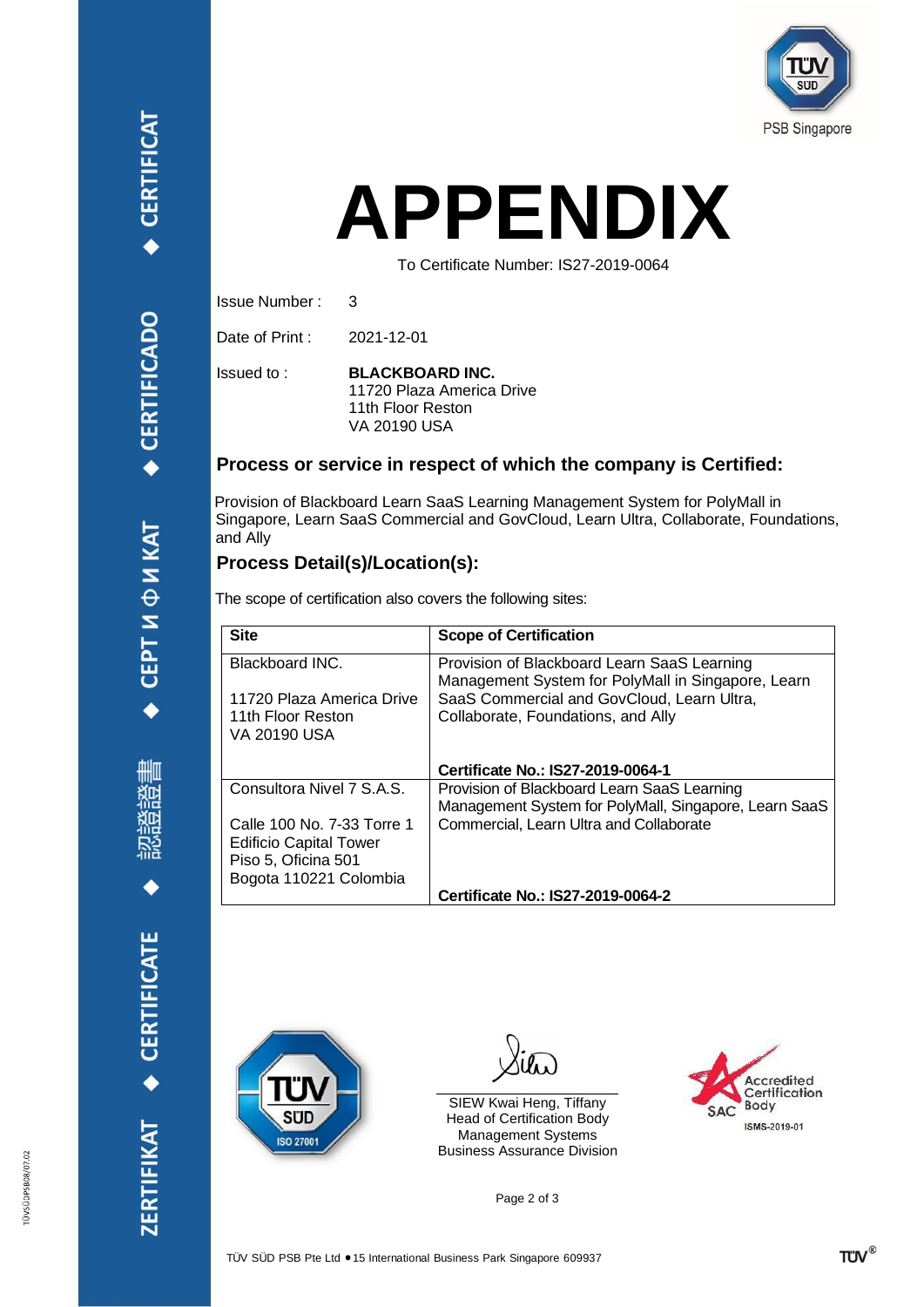## **APPENDIX**

To Certificate Number: IS27-2019-0064

Issue Number : 3

Date of Print : 2021-12-01

Issued to :

**BLACKBOARD INC.** 11720 Plaza America Drive 11th Floor Reston VA 20190 USA

#### **Process or service in respect of which the company is Certified:**

Provision of Blackboard Learn SaaS Learning Management System for PolyMall in Singapore, Learn SaaS Commercial and GovCloud, Learn Ultra, Collaborate, Foundations, and Ally

#### **Process Detail(s)/Location(s):**

The scope of certification also covers the following sites:

| <b>Site</b>                   | <b>Scope of Certification</b>                                                                     |
|-------------------------------|---------------------------------------------------------------------------------------------------|
| Blackboard INC.               | Provision of Blackboard Learn SaaS Learning<br>Management System for PolyMall in Singapore, Learn |
| 11720 Plaza America Drive     | SaaS Commercial and GovCloud, Learn Ultra,                                                        |
| 11th Floor Reston             | Collaborate, Foundations, and Ally                                                                |
| VA 20190 USA                  |                                                                                                   |
|                               | Certificate No.: IS27-2019-0064-1                                                                 |
| Consultora Nivel 7 S.A.S.     | Provision of Blackboard Learn SaaS Learning                                                       |
|                               | Management System for PolyMall, Singapore, Learn SaaS                                             |
| Calle 100 No. 7-33 Torre 1    | Commercial, Learn Ultra and Collaborate                                                           |
| <b>Edificio Capital Tower</b> |                                                                                                   |
| Piso 5, Oficina 501           |                                                                                                   |
| Bogota 110221 Colombia        |                                                                                                   |
|                               | Certificate No.: IS27-2019-0064-2                                                                 |

ZERTIFIKAT ◆ CERTIFICATE



 $\mathcal{L}_\text{max}$  and  $\mathcal{L}_\text{max}$  and  $\mathcal{L}_\text{max}$  and  $\mathcal{L}_\text{max}$ 

SIEW Kwai Heng, Tiffany Head of Certification Body Management Systems Business Assurance Division



Page 2 of 3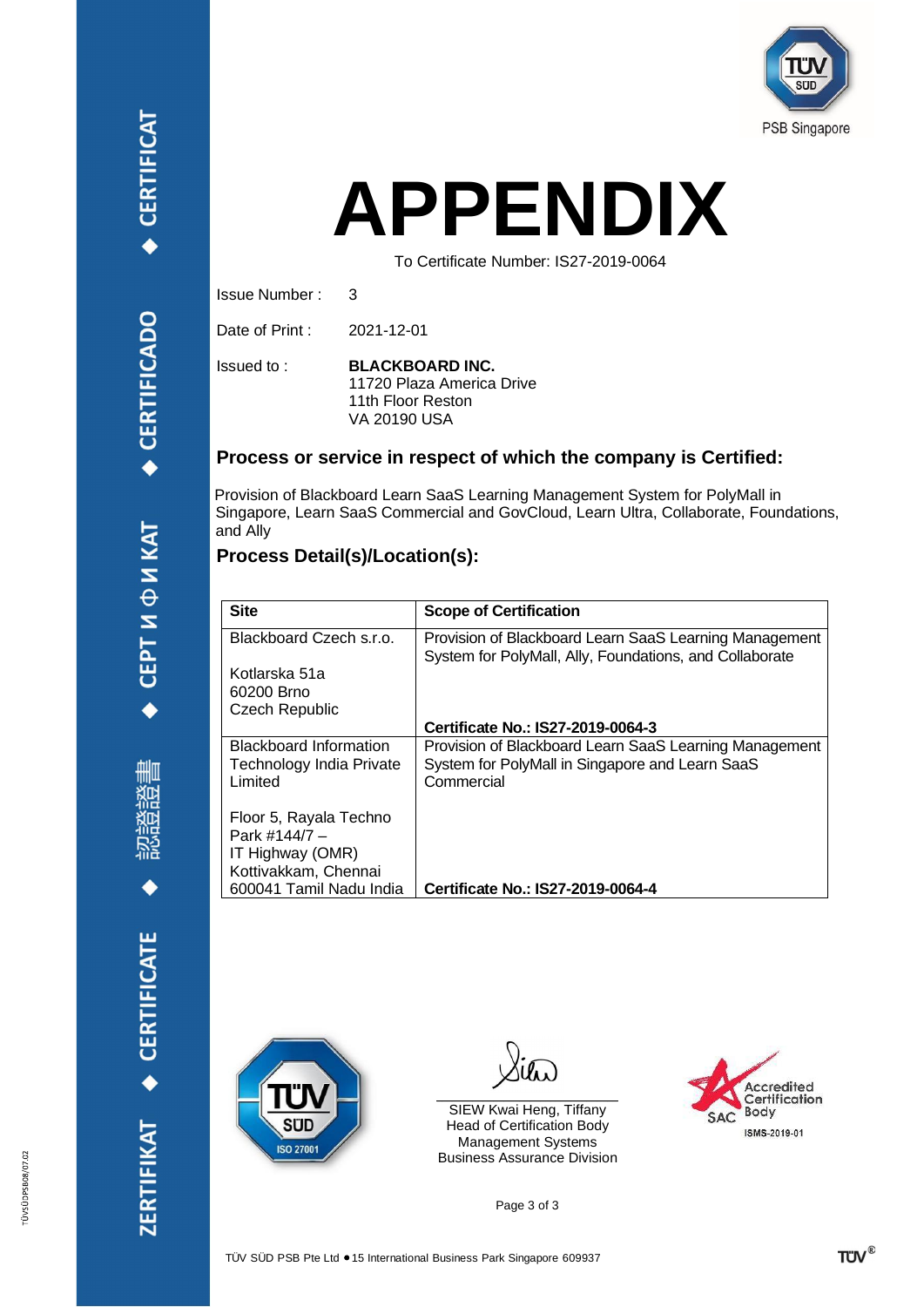

## **APPENDIX**

To Certificate Number: IS27-2019-0064

Issue Number :

Date of Print : 2021-12-01

3

Issued to :

**BLACKBOARD INC.** 11720 Plaza America Drive 11th Floor Reston VA 20190 USA

#### **Process or service in respect of which the company is Certified:**

Provision of Blackboard Learn SaaS Learning Management System for PolyMall in Singapore, Learn SaaS Commercial and GovCloud, Learn Ultra, Collaborate, Foundations, and Ally

#### **Process Detail(s)/Location(s):**

| <b>Site</b>                                | <b>Scope of Certification</b>                                                                                     |
|--------------------------------------------|-------------------------------------------------------------------------------------------------------------------|
| Blackboard Czech s.r.o.                    | Provision of Blackboard Learn SaaS Learning Management<br>System for PolyMall, Ally, Foundations, and Collaborate |
| Kotlarska 51a                              |                                                                                                                   |
| 60200 Brno                                 |                                                                                                                   |
| <b>Czech Republic</b>                      | Certificate No.: IS27-2019-0064-3                                                                                 |
|                                            |                                                                                                                   |
| <b>Blackboard Information</b>              | Provision of Blackboard Learn SaaS Learning Management                                                            |
| <b>Technology India Private</b><br>Limited | System for PolyMall in Singapore and Learn SaaS<br>Commercial                                                     |
|                                            |                                                                                                                   |
| Floor 5, Rayala Techno                     |                                                                                                                   |
| Park #144/7 -                              |                                                                                                                   |
| IT Highway (OMR)                           |                                                                                                                   |
| Kottivakkam, Chennai                       |                                                                                                                   |
| 600041 Tamil Nadu India                    | Certificate No.: IS27-2019-0064-4                                                                                 |



Yitw  $\mathcal{L}_\text{max}$  and  $\mathcal{L}_\text{max}$  and  $\mathcal{L}_\text{max}$  and  $\mathcal{L}_\text{max}$ 

SIEW Kwai Heng, Tiffany Head of Certification Body Management Systems Business Assurance Division



Page 3 of 3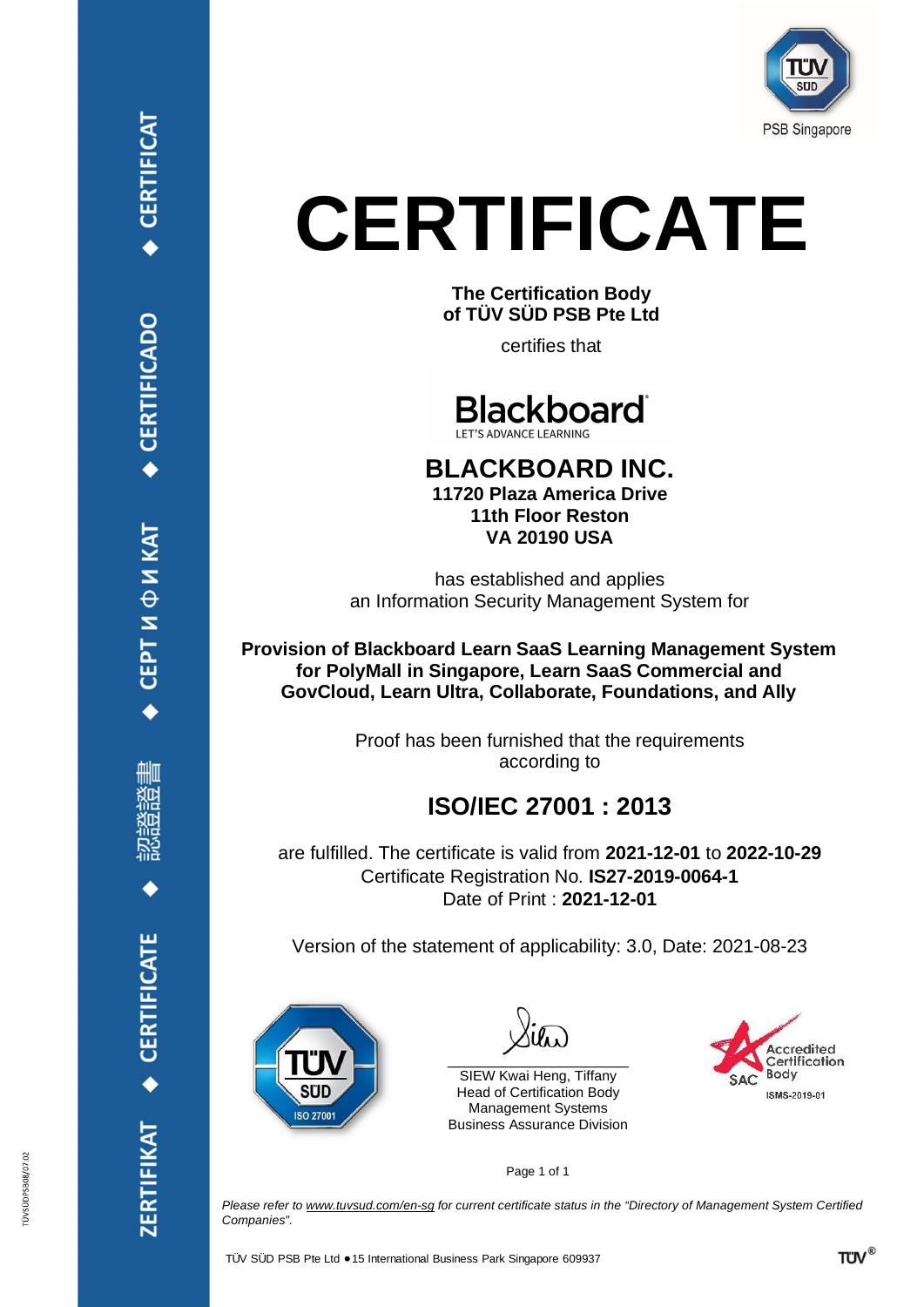

**The Certification Body of TÜV SÜD PSB Pte Ltd**

certifies that



#### **BLACKBOARD INC. 11720 Plaza America Drive 11th Floor Reston VA 20190 USA**

has established and applies an Information Security Management System for

**Provision of Blackboard Learn SaaS Learning Management System for PolyMall in Singapore, Learn SaaS Commercial and GovCloud, Learn Ultra, Collaborate, Foundations, and Ally**

> Proof has been furnished that the requirements according to

### **ISO/IEC 27001 : 2013**

are fulfilled. The certificate is valid from **2021-12-01** to **2022-10-29** Certificate Registration No. **IS27-2019-0064-1** Date of Print : **2021-12-01**

Version of the statement of applicability: 3.0, Date: 2021-08-23



 $\frac{1}{2}$  , and the set of the set of the set of the set of the set of the set of the set of the set of the set of the set of the set of the set of the set of the set of the set of the set of the set of the set of the set

SIEW Kwai Heng, Tiffany Head of Certification Body Management Systems Business Assurance Division



Page 1 of 1

*Please refer to [www.tuvsud.com/en-sg](http://www.tuvsud.com/en-sg) for current certificate status in the "Directory of Management System Certified Companies".*

СЕРТИФИКАТ

**CERTIFICAT** 

CERTIFICADO

ÜVSÜDPSB08/07.02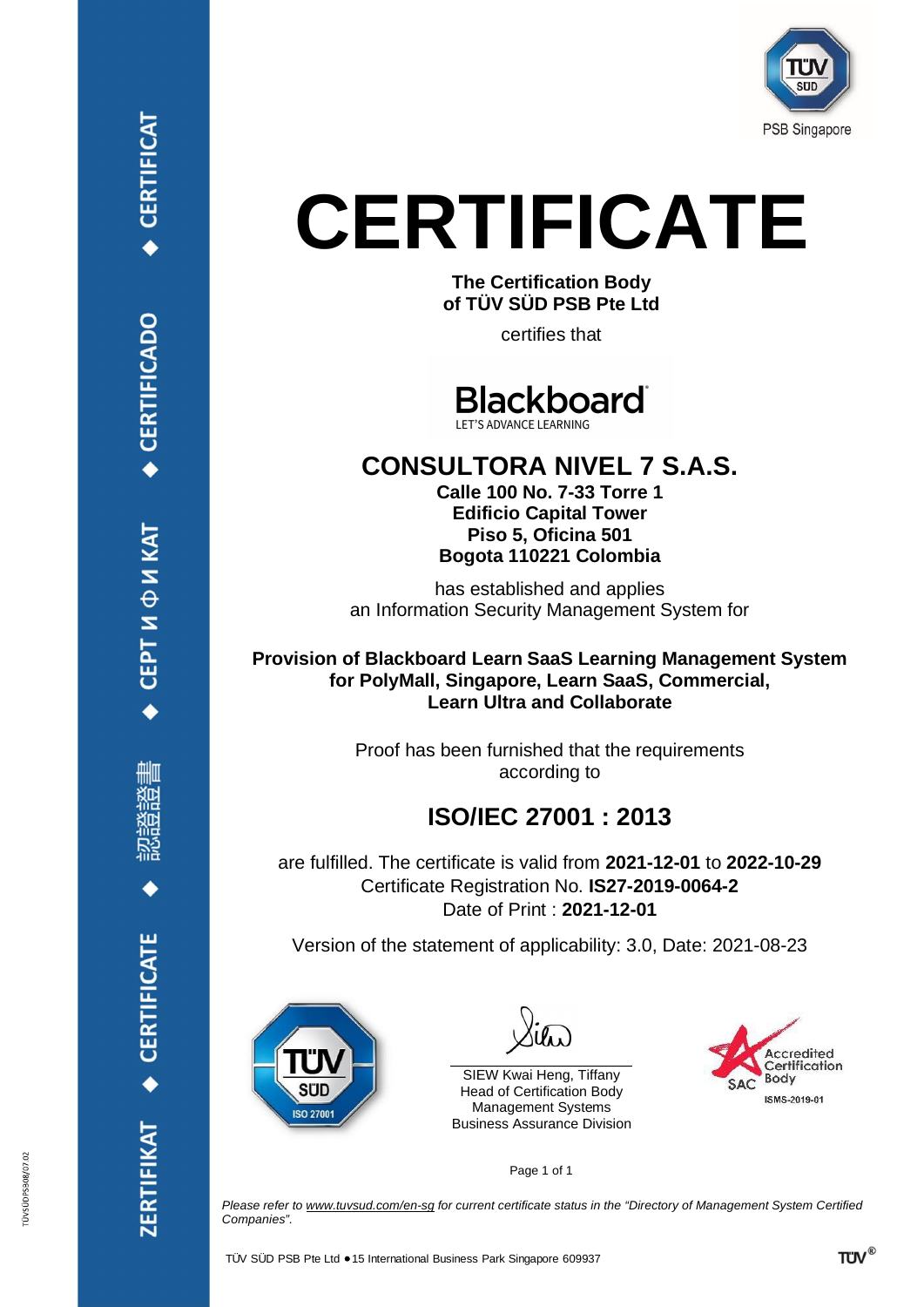

**The Certification Body of TÜV SÜD PSB Pte Ltd**

certifies that

**Blackboard** 

### **CONSULTORA NIVEL 7 S.A.S.**

**Calle 100 No. 7-33 Torre 1 Edificio Capital Tower Piso 5, Oficina 501 Bogota 110221 Colombia**

has established and applies an Information Security Management System for

**Provision of Blackboard Learn SaaS Learning Management System for PolyMall, Singapore, Learn SaaS, Commercial, Learn Ultra and Collaborate**

> Proof has been furnished that the requirements according to

### **ISO/IEC 27001 : 2013**

are fulfilled. The certificate is valid from **2021-12-01** to **2022-10-29** Certificate Registration No. **IS27-2019-0064-2** Date of Print : **2021-12-01**

Version of the statement of applicability: 3.0, Date: 2021-08-23



SIEW Kwai Heng, Tiffany Head of Certification Body Management Systems Business Assurance Division



Page 1 of 1

*Please refer to [www.tuvsud.com/en-sg](http://www.tuvsud.com/en-sg) for current certificate status in the "Directory of Management System Certified Companies".*

ZERTIFIKAT · CERTIFICATE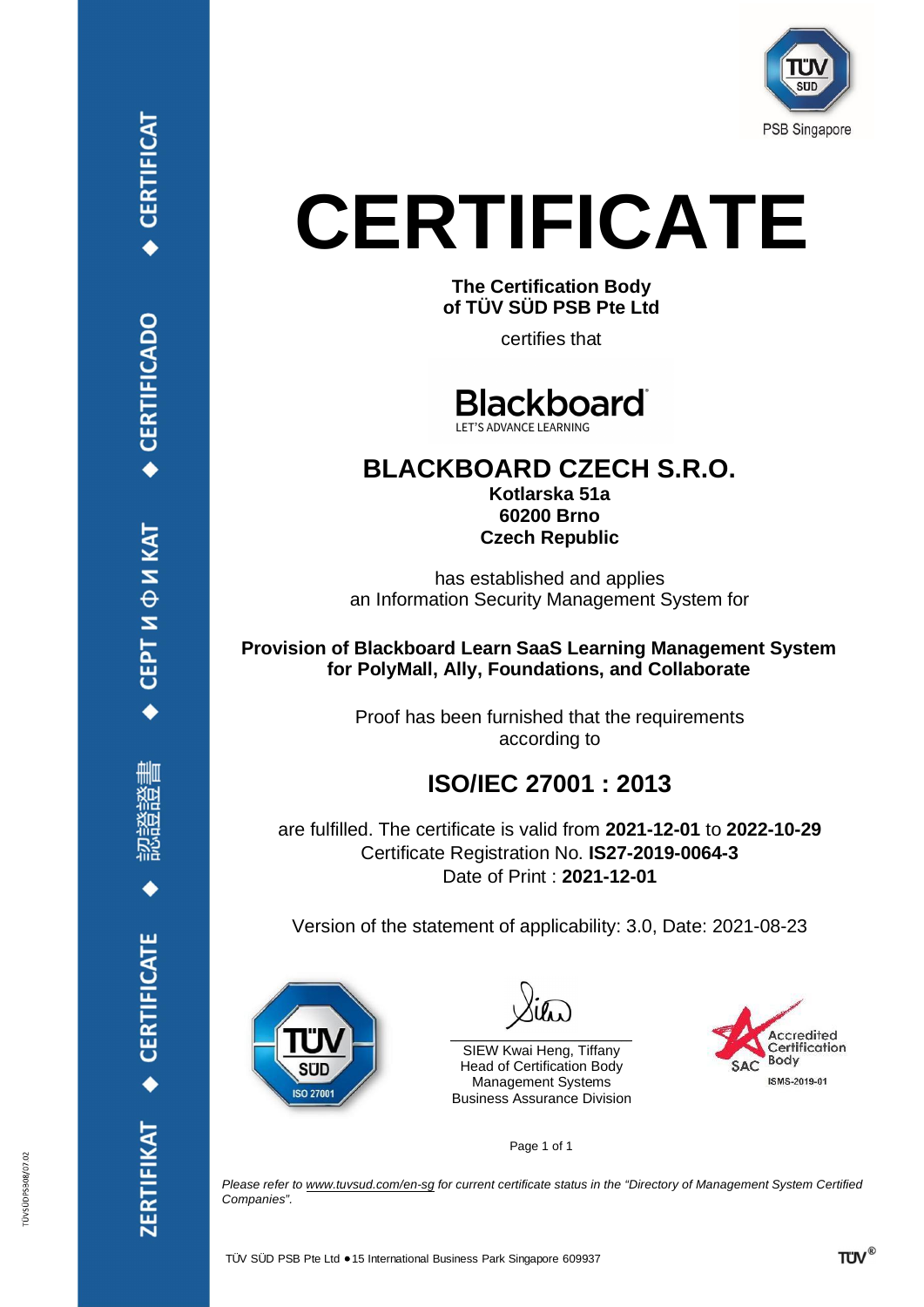

**The Certification Body of TÜV SÜD PSB Pte Ltd**

certifies that

**Blackboard** LET'S ADVANCE LEARNING

#### **BLACKBOARD CZECH S.R.O. Kotlarska 51a 60200 Brno Czech Republic**

has established and applies an Information Security Management System for

**Provision of Blackboard Learn SaaS Learning Management System for PolyMall, Ally, Foundations, and Collaborate**

> Proof has been furnished that the requirements according to

## **ISO/IEC 27001 : 2013**

are fulfilled. The certificate is valid from **2021-12-01** to **2022-10-29** Certificate Registration No. **IS27-2019-0064-3** Date of Print : **2021-12-01**

Version of the statement of applicability: 3.0, Date: 2021-08-23



| Silw |
|------|
|------|

SIEW Kwai Heng, Tiffany Head of Certification Body Management Systems Business Assurance Division



Page 1 of 1

*Please refer to [www.tuvsud.com/en-sg](http://www.tuvsud.com/en-sg) for current certificate status in the "Directory of Management System Certified Companies".*

CERTIFICAT

ÜVSÜDPSB08/07.02